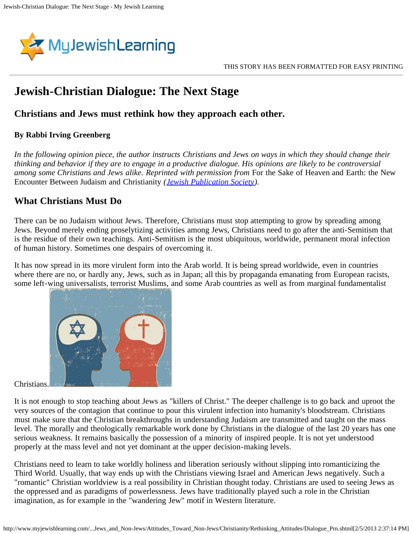

# **Jewish-Christian Dialogue: The Next Stage**

#### **Christians and Jews must rethink how they approach each other.**

#### **By Rabbi Irving Greenberg**

*In the following opinion piece, the author instructs Christians and Jews on ways in which they should change their thinking and behavior if they are to engage in a productive dialogue. His opinions are likely to be controversial among some Christians and Jews alike. Reprinted with permission from* For the Sake of Heaven and Earth: the New Encounter Between Judaism and Christianity *([Jewish Publication Society\)](http://www.jewishpub.org/).*

#### **What Christians Must Do**

There can be no Judaism without Jews. Therefore, Christians must stop attempting to grow by spreading among Jews. Beyond merely ending proselytizing activities among Jews, Christians need to go after the anti-Semitism that is the residue of their own teachings. Anti-Semitism is the most ubiquitous, worldwide, permanent moral infection of human history. Sometimes one despairs of overcoming it.

It has now spread in its more virulent form into the Arab world. It is being spread worldwide, even in countries where there are no, or hardly any, Jews, such as in Japan; all this by propaganda emanating from European racists, some left-wing universalists, terrorist Muslims, and some Arab countries as well as from marginal fundamentalist



Christians.

It is not enough to stop teaching about Jews as "killers of Christ." The deeper challenge is to go back and uproot the very sources of the contagion that continue to pour this virulent infection into humanity's bloodstream. Christians must make sure that the Christian breakthroughs in understanding Judaism are transmitted and taught on the mass level. The morally and theologically remarkable work done by Christians in the dialogue of the last 20 years has one serious weakness. It remains basically the possession of a minority of inspired people. It is not yet understood properly at the mass level and not yet dominant at the upper decision-making levels.

Christians need to learn to take worldly holiness and liberation seriously without slipping into romanticizing the Third World. Usually, that way ends up with the Christians viewing Israel and American Jews negatively. Such a "romantic" Christian worldview is a real possibility in Christian thought today. Christians are used to seeing Jews as the oppressed and as paradigms of powerlessness. Jews have traditionally played such a role in the Christian imagination, as for example in the "wandering Jew" motif in Western literature.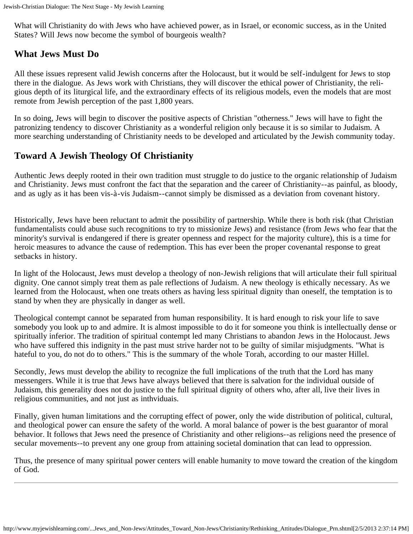What will Christianity do with Jews who have achieved power, as in Israel, or economic success, as in the United States? Will Jews now become the symbol of bourgeois wealth?

### **What Jews Must Do**

All these issues represent valid Jewish concerns after the Holocaust, but it would be self-indulgent for Jews to stop there in the dialogue. As Jews work with Christians, they will discover the ethical power of Christianity, the religious depth of its liturgical life, and the extraordinary effects of its religious models, even the models that are most remote from Jewish perception of the past 1,800 years.

In so doing, Jews will begin to discover the positive aspects of Christian "otherness." Jews will have to fight the patronizing tendency to discover Christianity as a wonderful religion only because it is so similar to Judaism. A more searching understanding of Christianity needs to be developed and articulated by the Jewish community today.

## **Toward A Jewish Theology Of Christianity**

Authentic Jews deeply rooted in their own tradition must struggle to do justice to the organic relationship of Judaism and Christianity. Jews must confront the fact that the separation and the career of Christianity--as painful, as bloody, and as ugly as it has been vis-à-vis Judaism--cannot simply be dismissed as a deviation from covenant history.

Historically, Jews have been reluctant to admit the possibility of partnership. While there is both risk (that Christian fundamentalists could abuse such recognitions to try to missionize Jews) and resistance (from Jews who fear that the minority's survival is endangered if there is greater openness and respect for the majority culture), this is a time for heroic measures to advance the cause of redemption. This has ever been the proper covenantal response to great setbacks in history.

In light of the Holocaust, Jews must develop a theology of non-Jewish religions that will articulate their full spiritual dignity. One cannot simply treat them as pale reflections of Judaism. A new theology is ethically necessary. As we learned from the Holocaust, when one treats others as having less spiritual dignity than oneself, the temptation is to stand by when they are physically in danger as well.

Theological contempt cannot be separated from human responsibility. It is hard enough to risk your life to save somebody you look up to and admire. It is almost impossible to do it for someone you think is intellectually dense or spiritually inferior. The tradition of spiritual contempt led many Christians to abandon Jews in the Holocaust. Jews who have suffered this indignity in the past must strive harder not to be guilty of similar misjudgments. "What is hateful to you, do not do to others." This is the summary of the whole Torah, according to our master Hillel.

Secondly, Jews must develop the ability to recognize the full implications of the truth that the Lord has many messengers. While it is true that Jews have always believed that there is salvation for the individual outside of Judaism, this generality does not do justice to the full spiritual dignity of others who, after all, live their lives in religious communities, and not just as inthviduais.

Finally, given human limitations and the corrupting effect of power, only the wide distribution of political, cultural, and theological power can ensure the safety of the world. A moral balance of power is the best guarantor of moral behavior. It follows that Jews need the presence of Christianity and other religions--as religions need the presence of secular movements--to prevent any one group from attaining societal domination that can lead to oppression.

Thus, the presence of many spiritual power centers will enable humanity to move toward the creation of the kingdom of God.